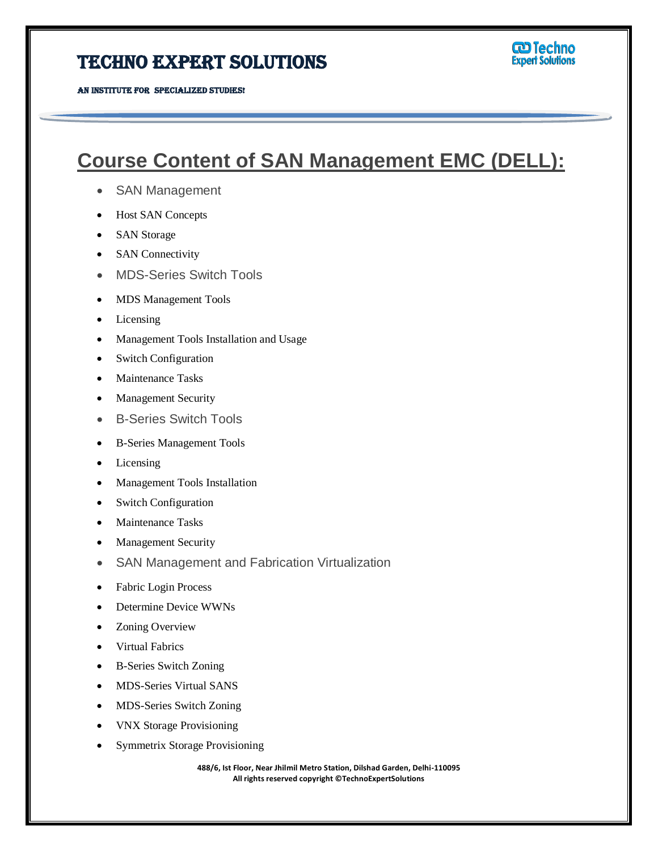## Techno Expert Solutions

## **Course Content of SAN Management EMC (DELL):**

- SAN Management
- Host SAN Concepts
- SAN Storage
- SAN Connectivity
- MDS-Series Switch Tools
- MDS Management Tools
- Licensing
- Management Tools Installation and Usage
- Switch Configuration
- Maintenance Tasks
- Management Security
- B-Series Switch Tools
- B-Series Management Tools
- Licensing
- Management Tools Installation
- Switch Configuration
- Maintenance Tasks
- Management Security
- SAN Management and Fabrication Virtualization
- Fabric Login Process
- Determine Device WWNs
- Zoning Overview
- Virtual Fabrics
- B-Series Switch Zoning
- MDS-Series Virtual SANS
- MDS-Series Switch Zoning
- VNX Storage Provisioning
- Symmetrix Storage Provisioning

**488/6, Ist Floor, Near Jhilmil Metro Station, Dilshad Garden, Delhi-110095 All rights reserved copyright ©TechnoExpertSolutions**